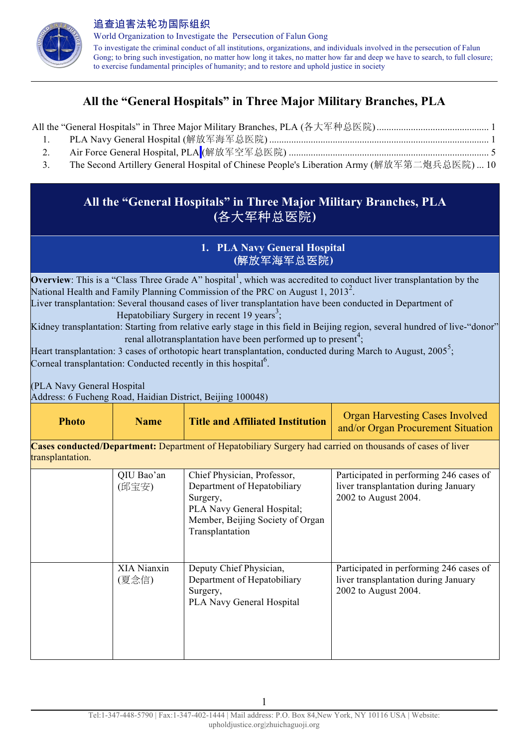

追查迫害法轮功国际组织 World Organization to Investigate the Persecution of Falun Gong To investigate the criminal conduct of all institutions, organizations, and individuals involved in the persecution of Falun Gong; to bring such investigation, no matter how long it takes, no matter how far and deep we have to search, to full closure; to exercise fundamental principles of humanity; and to restore and uphold justice in society

# **All the "General Hospitals" in Three Major Military Branches, PLA**

All the "General Hospitals" in Three Major Military Branches, PLA (各大军种总医院).............................................. 1

- 1. PLA Navy General Hospital (解放军海军总医院) .......................................................................................... 1
- 2. Air Force General Hospital, PLA (解放军空军总医院) .................................................................................. 5
- 3. The Second Artillery General Hospital of Chinese People's Liberation Army (解放军第二炮兵总医院) ... 10

## **All the "General Hospitals" in Three Major Military Branches, PLA (**各大军种总医院**)**

#### **1. PLA Navy General Hospital (**解放军海军总医院**)**

**Overview**: This is a "Class Three Grade A" hospital<sup>1</sup>, which was accredited to conduct liver transplantation by the National Health and Family Planning Commission of the PRC on August 1, 2013<sup>2</sup>. Liver transplantation: Several thousand cases of liver transplantation have been conducted in Department of

Hepatobiliary Surgery in recent 19 years<sup>3</sup>;

Kidney transplantation: Starting from relative early stage in this field in Beijing region, several hundred of live-"donor" renal allotransplantation have been performed up to present<sup>4</sup>;

Heart transplantation: 3 cases of orthotopic heart transplantation, conducted during March to August,  $2005^5$ ; Corneal transplantation: Conducted recently in this hospital<sup>6</sup>.

(PLA Navy General Hospital

Address: 6 Fucheng Road, Haidian District, Beijing 100048)

| <b>Photo</b>     | <b>Name</b>          | <b>Title and Affiliated Institution</b>                                                                                                                     | <b>Organ Harvesting Cases Involved</b><br>and/or Organ Procurement Situation                            |
|------------------|----------------------|-------------------------------------------------------------------------------------------------------------------------------------------------------------|---------------------------------------------------------------------------------------------------------|
| transplantation. |                      | <b>Cases conducted/Department:</b> Department of Hepatobiliary Surgery had carried on thousands of cases of liver                                           |                                                                                                         |
|                  | QIU Bao'an<br>(邱宝安)  | Chief Physician, Professor,<br>Department of Hepatobiliary<br>Surgery,<br>PLA Navy General Hospital;<br>Member, Beijing Society of Organ<br>Transplantation | Participated in performing 246 cases of<br>liver transplantation during January<br>2002 to August 2004. |
|                  | XIA Nianxin<br>(夏念信) | Deputy Chief Physician,<br>Department of Hepatobiliary<br>Surgery,<br>PLA Navy General Hospital                                                             | Participated in performing 246 cases of<br>liver transplantation during January<br>2002 to August 2004. |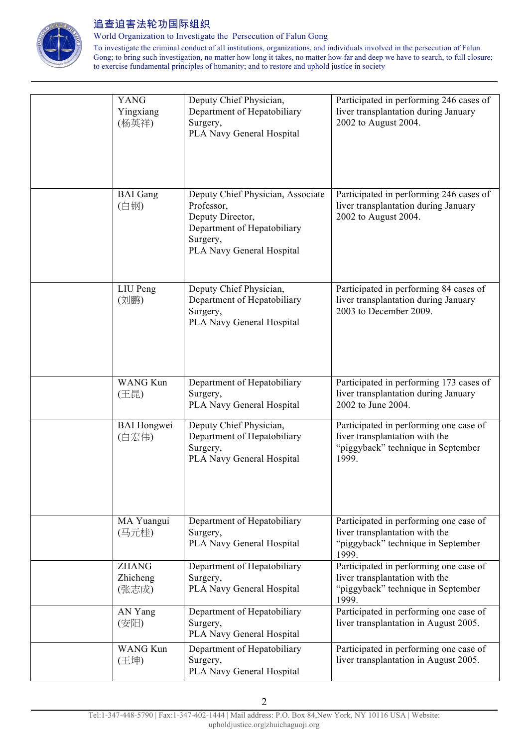

World Organization to Investigate the Persecution of Falun Gong

| <b>YANG</b><br>Yingxiang<br>(杨英祥) | Deputy Chief Physician,<br>Department of Hepatobiliary<br>Surgery,<br>PLA Navy General Hospital                                             | Participated in performing 246 cases of<br>liver transplantation during January<br>2002 to August 2004.                 |
|-----------------------------------|---------------------------------------------------------------------------------------------------------------------------------------------|-------------------------------------------------------------------------------------------------------------------------|
| <b>BAI</b> Gang<br>(白钢)           | Deputy Chief Physician, Associate<br>Professor,<br>Deputy Director,<br>Department of Hepatobiliary<br>Surgery,<br>PLA Navy General Hospital | Participated in performing 246 cases of<br>liver transplantation during January<br>2002 to August 2004.                 |
| LIU Peng<br>(刘鹏)                  | Deputy Chief Physician,<br>Department of Hepatobiliary<br>Surgery,<br>PLA Navy General Hospital                                             | Participated in performing 84 cases of<br>liver transplantation during January<br>2003 to December 2009.                |
| <b>WANG Kun</b><br>(王昆)           | Department of Hepatobiliary<br>Surgery,<br>PLA Navy General Hospital                                                                        | Participated in performing 173 cases of<br>liver transplantation during January<br>2002 to June 2004.                   |
| <b>BAI</b> Hongwei<br>(白宏伟)       | Deputy Chief Physician,<br>Department of Hepatobiliary<br>Surgery,<br>PLA Navy General Hospital                                             | Participated in performing one case of<br>liver transplantation with the<br>"piggyback" technique in September<br>1999. |
| MA Yuangui<br>(马元桂)               | Department of Hepatobiliary<br>Surgery,<br>PLA Navy General Hospital                                                                        | Participated in performing one case of<br>liver transplantation with the<br>"piggyback" technique in September<br>1999. |
| <b>ZHANG</b><br>Zhicheng<br>(张志成) | Department of Hepatobiliary<br>Surgery,<br>PLA Navy General Hospital                                                                        | Participated in performing one case of<br>liver transplantation with the<br>"piggyback" technique in September<br>1999. |
| AN Yang<br>(安阳)                   | Department of Hepatobiliary<br>Surgery,<br>PLA Navy General Hospital                                                                        | Participated in performing one case of<br>liver transplantation in August 2005.                                         |
| <b>WANG Kun</b><br>(王坤)           | Department of Hepatobiliary<br>Surgery,<br>PLA Navy General Hospital                                                                        | Participated in performing one case of<br>liver transplantation in August 2005.                                         |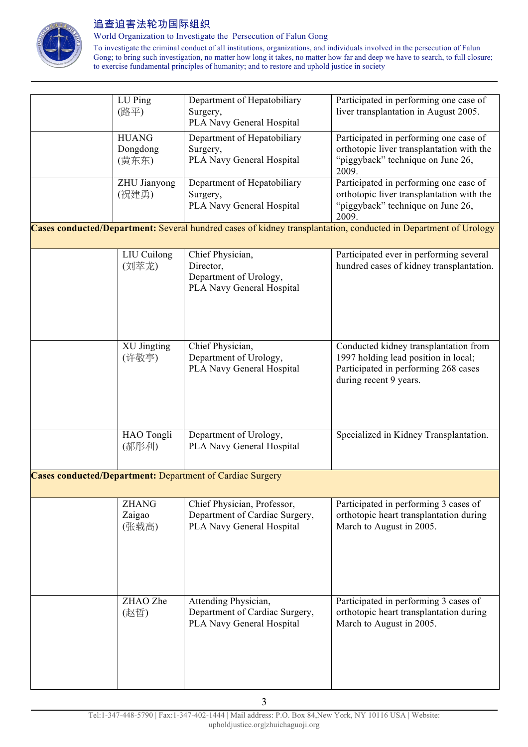

World Organization to Investigate the Persecution of Falun Gong

| LU Ping<br>(路平)                   | Department of Hepatobiliary<br>Surgery,<br>PLA Navy General Hospital                       | Participated in performing one case of<br>liver transplantation in August 2005.                                                                 |
|-----------------------------------|--------------------------------------------------------------------------------------------|-------------------------------------------------------------------------------------------------------------------------------------------------|
| <b>HUANG</b><br>Dongdong<br>(黄东东) | Department of Hepatobiliary<br>Surgery,<br>PLA Navy General Hospital                       | Participated in performing one case of<br>orthotopic liver transplantation with the<br>"piggyback" technique on June 26,                        |
| ZHU Jianyong<br>(祝建勇)             | Department of Hepatobiliary<br>Surgery,                                                    | 2009.<br>Participated in performing one case of<br>orthotopic liver transplantation with the                                                    |
|                                   | PLA Navy General Hospital                                                                  | "piggyback" technique on June 26,<br>2009.                                                                                                      |
|                                   |                                                                                            | Cases conducted/Department: Several hundred cases of kidney transplantation, conducted in Department of Urology                                 |
| <b>LIU</b> Cuilong<br>(刘萃龙)       | Chief Physician,<br>Director,<br>Department of Urology,<br>PLA Navy General Hospital       | Participated ever in performing several<br>hundred cases of kidney transplantation.                                                             |
| <b>XU Jingting</b><br>(许敬亭)       | Chief Physician,<br>Department of Urology,<br>PLA Navy General Hospital                    | Conducted kidney transplantation from<br>1997 holding lead position in local;<br>Participated in performing 268 cases<br>during recent 9 years. |
| HAO Tongli<br>(郝彤利)               | Department of Urology,<br>PLA Navy General Hospital                                        | Specialized in Kidney Transplantation.                                                                                                          |
|                                   | <b>Cases conducted/Department: Department of Cardiac Surgery</b>                           |                                                                                                                                                 |
| <b>ZHANG</b><br>Zaigao<br>(张载高)   | Chief Physician, Professor,<br>Department of Cardiac Surgery,<br>PLA Navy General Hospital | Participated in performing 3 cases of<br>orthotopic heart transplantation during<br>March to August in 2005.                                    |
| ZHAO Zhe<br>(赵哲)                  | Attending Physician,<br>Department of Cardiac Surgery,<br>PLA Navy General Hospital        | Participated in performing 3 cases of<br>orthotopic heart transplantation during<br>March to August in 2005.                                    |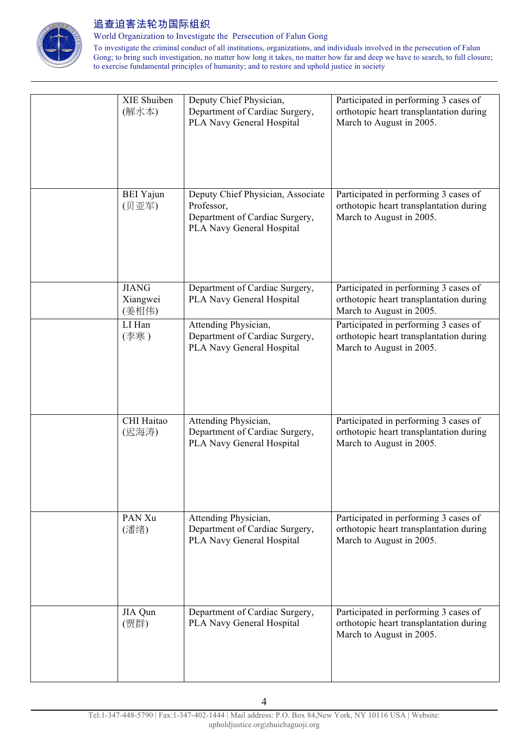

World Organization to Investigate the Persecution of Falun Gong

| XIE Shuiben<br>(解水本)              | Deputy Chief Physician,<br>Department of Cardiac Surgery,<br>PLA Navy General Hospital                         | Participated in performing 3 cases of<br>orthotopic heart transplantation during<br>March to August in 2005. |
|-----------------------------------|----------------------------------------------------------------------------------------------------------------|--------------------------------------------------------------------------------------------------------------|
| <b>BEI</b> Yajun<br>(贝亚军)         | Deputy Chief Physician, Associate<br>Professor,<br>Department of Cardiac Surgery,<br>PLA Navy General Hospital | Participated in performing 3 cases of<br>orthotopic heart transplantation during<br>March to August in 2005. |
| <b>JIANG</b><br>Xiangwei<br>(姜相伟) | Department of Cardiac Surgery,<br>PLA Navy General Hospital                                                    | Participated in performing 3 cases of<br>orthotopic heart transplantation during<br>March to August in 2005. |
| LI Han<br>(李寒)                    | Attending Physician,<br>Department of Cardiac Surgery,<br>PLA Navy General Hospital                            | Participated in performing 3 cases of<br>orthotopic heart transplantation during<br>March to August in 2005. |
| CHI Haitao<br>(迟海涛)               | Attending Physician,<br>Department of Cardiac Surgery,<br>PLA Navy General Hospital                            | Participated in performing 3 cases of<br>orthotopic heart transplantation during<br>March to August in 2005. |
| PAN Xu<br>(潘绪)                    | Attending Physician,<br>Department of Cardiac Surgery,<br>PLA Navy General Hospital                            | Participated in performing 3 cases of<br>orthotopic heart transplantation during<br>March to August in 2005. |
| JIA Qun<br>(贾群)                   | Department of Cardiac Surgery,<br>PLA Navy General Hospital                                                    | Participated in performing 3 cases of<br>orthotopic heart transplantation during<br>March to August in 2005. |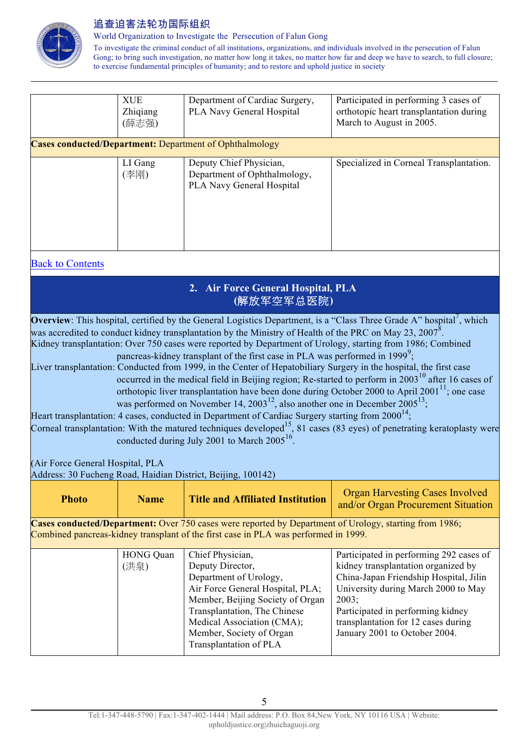

World Organization to Investigate the Persecution of Falun Gong

To investigate the criminal conduct of all institutions, organizations, and individuals involved in the persecution of Falun Gong; to bring such investigation, no matter how long it takes, no matter how far and deep we have to search, to full closure; to exercise fundamental principles of humanity; and to restore and uphold justice in society

| <b>XUE</b><br>Zhiqiang<br>(薛志强) | Department of Cardiac Surgery,<br>PLA Navy General Hospital                          | Participated in performing 3 cases of<br>orthotopic heart transplantation during<br>March to August in 2005. |
|---------------------------------|--------------------------------------------------------------------------------------|--------------------------------------------------------------------------------------------------------------|
|                                 | <b>Cases conducted/Department:</b> Department of Ophthalmology                       |                                                                                                              |
| LI Gang<br>(李刚)                 | Deputy Chief Physician,<br>Department of Ophthalmology,<br>PLA Navy General Hospital | Specialized in Corneal Transplantation.                                                                      |

#### Back to Contents

| 2. Air Force General Hospital, PLA |
|------------------------------------|
| (解放军空军总医院)                         |

**Overview**: This hospital, certified by the General Logistics Department, is a "Class Three Grade A" hospital<sup>7</sup>, which was accredited to conduct kidney transplantation by the Ministry of Health of the PRC on May 23, 2007<sup>8</sup>. Kidney transplantation: Over 750 cases were reported by Department of Urology, starting from 1986; Combined pancreas-kidney transplant of the first case in PLA was performed in 1999<sup>9</sup>;

Liver transplantation: Conducted from 1999, in the Center of Hepatobiliary Surgery in the hospital, the first case occurred in the medical field in Beijing region; Re-started to perform in 2003<sup>10</sup> after 16 cases of orthotopic liver transplantation have been done during October 2000 to April 2001 $^{11}$ ; one case was performed on November 14, 2003<sup>12</sup>, also another one in December  $2005^{13}$ ;

Heart transplantation: 4 cases, conducted in Department of Cardiac Surgery starting from  $2000^{14}$ ;

Corneal transplantation: With the matured techniques developed<sup>15</sup>, 81 cases (83 eyes) of penetrating keratoplasty were conducted during July 2001 to March  $2005^{16}$ .

(Air Force General Hospital, PLA

Address: 30 Fucheng Road, Haidian District, Beijing, 100142)

| <b>Photo</b> | <b>Name</b>      | <b>Title and Affiliated Institution</b>                                                                | <b>Organ Harvesting Cases Involved</b><br>and/or Organ Procurement Situation |
|--------------|------------------|--------------------------------------------------------------------------------------------------------|------------------------------------------------------------------------------|
|              |                  | Cases conducted/Department: Over 750 cases were reported by Department of Urology, starting from 1986; |                                                                              |
|              |                  | Combined pancreas-kidney transplant of the first case in PLA was performed in 1999.                    |                                                                              |
|              | <b>HONG Quan</b> | Chief Physician,                                                                                       | Participated in performing 292 cases of                                      |
|              | (洪泉)             | Deputy Director,                                                                                       | kidney transplantation organized by                                          |
|              |                  | Department of Urology,                                                                                 | China-Japan Friendship Hospital, Jilin                                       |
|              |                  | Air Force General Hospital, PLA;                                                                       | University during March 2000 to May                                          |
|              |                  | Member, Beijing Society of Organ                                                                       | 2003:                                                                        |
|              |                  | Transplantation, The Chinese                                                                           | Participated in performing kidney                                            |
|              |                  | Medical Association (CMA);                                                                             | transplantation for 12 cases during                                          |
|              |                  | Member, Society of Organ                                                                               | January 2001 to October 2004.                                                |
|              |                  | Transplantation of PLA                                                                                 |                                                                              |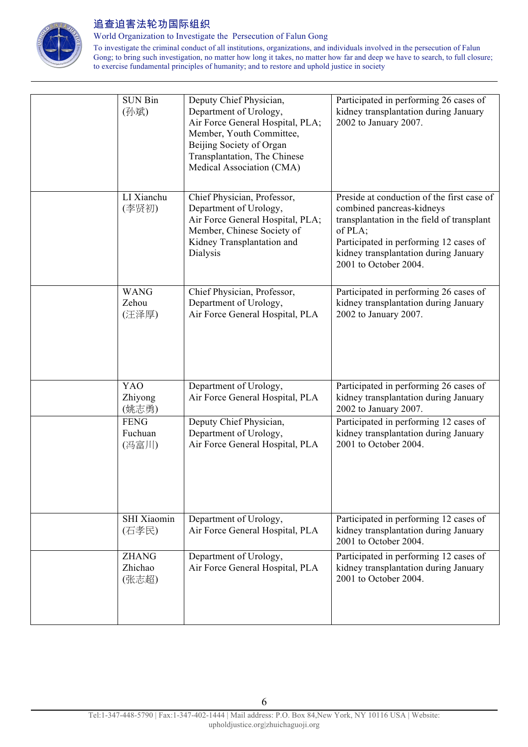

World Organization to Investigate the Persecution of Falun Gong

| <b>SUN Bin</b><br>(孙斌)           | Deputy Chief Physician,<br>Department of Urology,<br>Air Force General Hospital, PLA;<br>Member, Youth Committee,<br>Beijing Society of Organ<br>Transplantation, The Chinese<br>Medical Association (CMA) | Participated in performing 26 cases of<br>kidney transplantation during January<br>2002 to January 2007.                                                                                                                                     |
|----------------------------------|------------------------------------------------------------------------------------------------------------------------------------------------------------------------------------------------------------|----------------------------------------------------------------------------------------------------------------------------------------------------------------------------------------------------------------------------------------------|
| LI Xianchu<br>(李贤初)              | Chief Physician, Professor,<br>Department of Urology,<br>Air Force General Hospital, PLA;<br>Member, Chinese Society of<br>Kidney Transplantation and<br>Dialysis                                          | Preside at conduction of the first case of<br>combined pancreas-kidneys<br>transplantation in the field of transplant<br>of PLA;<br>Participated in performing 12 cases of<br>kidney transplantation during January<br>2001 to October 2004. |
| <b>WANG</b><br>Zehou<br>(汪泽厚)    | Chief Physician, Professor,<br>Department of Urology,<br>Air Force General Hospital, PLA                                                                                                                   | Participated in performing 26 cases of<br>kidney transplantation during January<br>2002 to January 2007.                                                                                                                                     |
| <b>YAO</b><br>Zhiyong<br>(姚志勇)   | Department of Urology,<br>Air Force General Hospital, PLA                                                                                                                                                  | Participated in performing 26 cases of<br>kidney transplantation during January<br>2002 to January 2007.                                                                                                                                     |
| <b>FENG</b><br>Fuchuan<br>(冯富川)  | Deputy Chief Physician,<br>Department of Urology,<br>Air Force General Hospital, PLA                                                                                                                       | Participated in performing 12 cases of<br>kidney transplantation during January<br>2001 to October 2004.                                                                                                                                     |
| SHI Xiaomin<br>(石孝民)             | Department of Urology,<br>Air Force General Hospital, PLA                                                                                                                                                  | Participated in performing 12 cases of<br>kidney transplantation during January<br>2001 to October 2004.                                                                                                                                     |
| <b>ZHANG</b><br>Zhichao<br>(张志超) | Department of Urology,<br>Air Force General Hospital, PLA                                                                                                                                                  | Participated in performing 12 cases of<br>kidney transplantation during January<br>2001 to October 2004.                                                                                                                                     |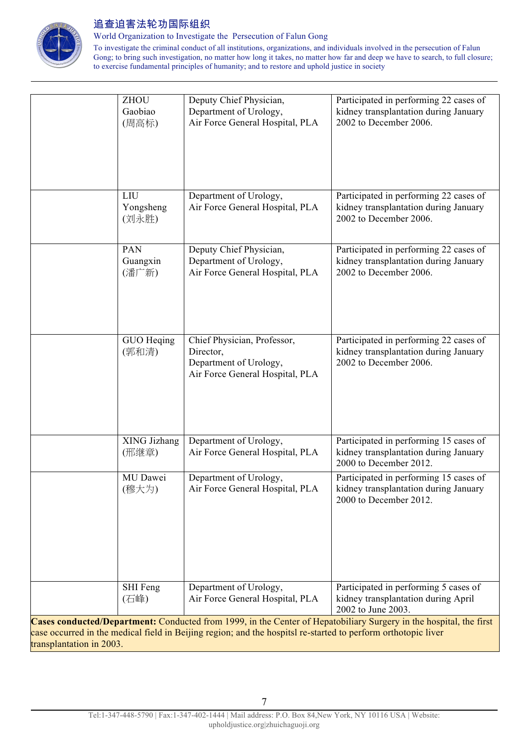

World Organization to Investigate the Persecution of Falun Gong

|                          | <b>ZHOU</b><br>Gaobiao<br>(周高标) | Deputy Chief Physician,<br>Department of Urology,<br>Air Force General Hospital, PLA                          | Participated in performing 22 cases of<br>kidney transplantation during January<br>2002 to December 2006.          |
|--------------------------|---------------------------------|---------------------------------------------------------------------------------------------------------------|--------------------------------------------------------------------------------------------------------------------|
|                          | LIU<br>Yongsheng<br>(刘永胜)       | Department of Urology,<br>Air Force General Hospital, PLA                                                     | Participated in performing 22 cases of<br>kidney transplantation during January<br>2002 to December 2006.          |
|                          | PAN<br>Guangxin<br>(潘广新)        | Deputy Chief Physician,<br>Department of Urology,<br>Air Force General Hospital, PLA                          | Participated in performing 22 cases of<br>kidney transplantation during January<br>2002 to December 2006.          |
|                          | GUO Heqing<br>(郭和清)             | Chief Physician, Professor,<br>Director,<br>Department of Urology,<br>Air Force General Hospital, PLA         | Participated in performing 22 cases of<br>kidney transplantation during January<br>2002 to December 2006.          |
|                          | XING Jizhang<br>(邢继章)           | Department of Urology,<br>Air Force General Hospital, PLA                                                     | Participated in performing 15 cases of<br>kidney transplantation during January<br>2000 to December 2012.          |
|                          | MU Dawei<br>(穆大为)               | Department of Urology,<br>Air Force General Hospital, PLA                                                     | Participated in performing 15 cases of<br>kidney transplantation during January<br>2000 to December 2012.          |
|                          | SHI Feng<br>(石峰)                | Department of Urology,<br>Air Force General Hospital, PLA                                                     | Participated in performing 5 cases of<br>kidney transplantation during April<br>2002 to June 2003.                 |
| transplantation in 2003. |                                 | case occurred in the medical field in Beijing region; and the hospitsl re-started to perform orthotopic liver | Cases conducted/Department: Conducted from 1999, in the Center of Hepatobiliary Surgery in the hospital, the first |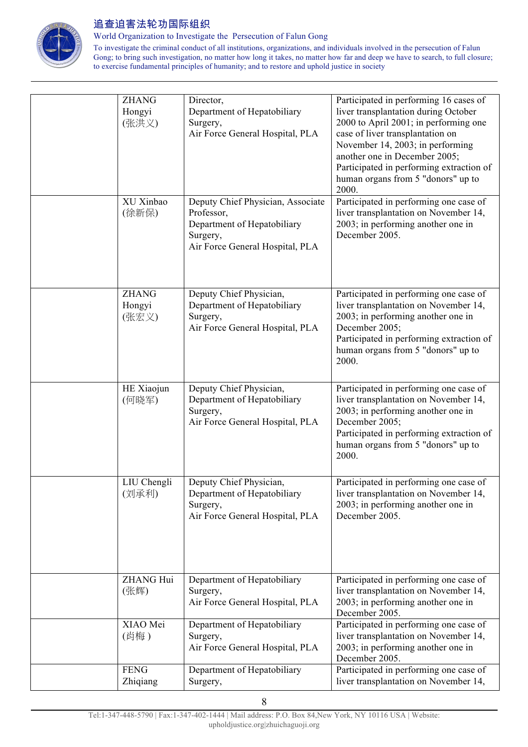

World Organization to Investigate the Persecution of Falun Gong

| <b>ZHANG</b><br>Hongyi<br>(张洪义)<br>XU Xinbao<br>(徐新保) | Director,<br>Department of Hepatobiliary<br>Surgery,<br>Air Force General Hospital, PLA<br>Deputy Chief Physician, Associate<br>Professor,<br>Department of Hepatobiliary<br>Surgery,<br>Air Force General Hospital, PLA | Participated in performing 16 cases of<br>liver transplantation during October<br>2000 to April 2001; in performing one<br>case of liver transplantation on<br>November 14, 2003; in performing<br>another one in December 2005;<br>Participated in performing extraction of<br>human organs from 5 "donors" up to<br>2000.<br>Participated in performing one case of<br>liver transplantation on November 14,<br>2003; in performing another one in<br>December 2005. |
|-------------------------------------------------------|--------------------------------------------------------------------------------------------------------------------------------------------------------------------------------------------------------------------------|------------------------------------------------------------------------------------------------------------------------------------------------------------------------------------------------------------------------------------------------------------------------------------------------------------------------------------------------------------------------------------------------------------------------------------------------------------------------|
| <b>ZHANG</b><br>Hongyi<br>(张宏义)                       | Deputy Chief Physician,<br>Department of Hepatobiliary<br>Surgery,<br>Air Force General Hospital, PLA                                                                                                                    | Participated in performing one case of<br>liver transplantation on November 14,<br>2003; in performing another one in<br>December 2005;<br>Participated in performing extraction of<br>human organs from 5 "donors" up to<br>2000.                                                                                                                                                                                                                                     |
| HE Xiaojun<br>(何晓军)                                   | Deputy Chief Physician,<br>Department of Hepatobiliary<br>Surgery,<br>Air Force General Hospital, PLA                                                                                                                    | Participated in performing one case of<br>liver transplantation on November 14,<br>2003; in performing another one in<br>December 2005;<br>Participated in performing extraction of<br>human organs from 5 "donors" up to<br>2000.                                                                                                                                                                                                                                     |
| LIU Chengli<br>(刘承利)                                  | Deputy Chief Physician,<br>Department of Hepatobiliary<br>Surgery,<br>Air Force General Hospital, PLA                                                                                                                    | Participated in performing one case of<br>liver transplantation on November 14,<br>2003; in performing another one in<br>December 2005.                                                                                                                                                                                                                                                                                                                                |
| <b>ZHANG Hui</b><br>(张辉)                              | Department of Hepatobiliary<br>Surgery,<br>Air Force General Hospital, PLA                                                                                                                                               | Participated in performing one case of<br>liver transplantation on November 14,<br>2003; in performing another one in<br>December 2005.                                                                                                                                                                                                                                                                                                                                |
| XIAO Mei<br>(肖梅)                                      | Department of Hepatobiliary<br>Surgery,<br>Air Force General Hospital, PLA                                                                                                                                               | Participated in performing one case of<br>liver transplantation on November 14,<br>2003; in performing another one in<br>December 2005.                                                                                                                                                                                                                                                                                                                                |
| <b>FENG</b><br>Zhiqiang                               | Department of Hepatobiliary<br>Surgery,                                                                                                                                                                                  | Participated in performing one case of<br>liver transplantation on November 14,                                                                                                                                                                                                                                                                                                                                                                                        |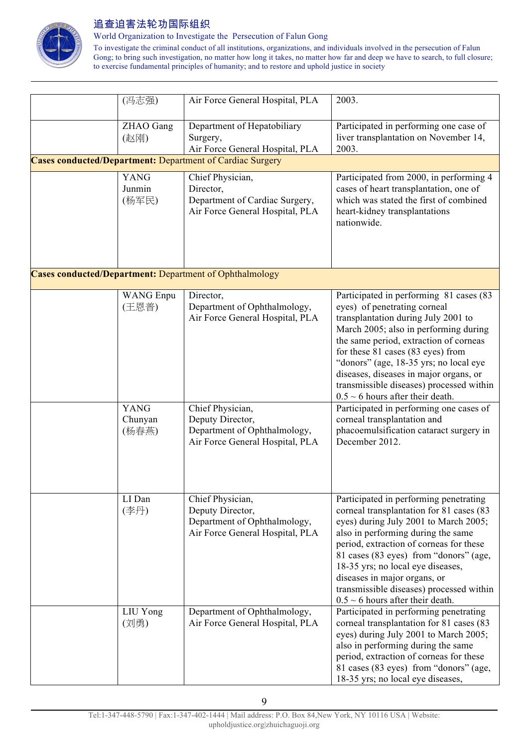

World Organization to Investigate the Persecution of Falun Gong

| (冯志强)            | Air Force General Hospital, PLA                                  | 2003.                                                                       |
|------------------|------------------------------------------------------------------|-----------------------------------------------------------------------------|
| ZHAO Gang        | Department of Hepatobiliary                                      | Participated in performing one case of                                      |
| (赵刚)             | Surgery,                                                         | liver transplantation on November 14,                                       |
|                  | Air Force General Hospital, PLA                                  | 2003.                                                                       |
|                  | <b>Cases conducted/Department: Department of Cardiac Surgery</b> |                                                                             |
| <b>YANG</b>      | Chief Physician,                                                 | Participated from 2000, in performing 4                                     |
| Junmin           | Director,                                                        | cases of heart transplantation, one of                                      |
| (杨军民)            | Department of Cardiac Surgery,                                   | which was stated the first of combined                                      |
|                  | Air Force General Hospital, PLA                                  | heart-kidney transplantations                                               |
|                  |                                                                  | nationwide.                                                                 |
|                  |                                                                  |                                                                             |
|                  |                                                                  |                                                                             |
|                  | <b>Cases conducted/Department:</b> Department of Ophthalmology   |                                                                             |
|                  |                                                                  |                                                                             |
| <b>WANG</b> Enpu | Director,                                                        | Participated in performing 81 cases (83                                     |
| (王恩普)            | Department of Ophthalmology,<br>Air Force General Hospital, PLA  | eyes) of penetrating corneal<br>transplantation during July 2001 to         |
|                  |                                                                  | March 2005; also in performing during                                       |
|                  |                                                                  | the same period, extraction of corneas                                      |
|                  |                                                                  | for these 81 cases (83 eyes) from                                           |
|                  |                                                                  | "donors" (age, 18-35 yrs; no local eye                                      |
|                  |                                                                  | diseases, diseases in major organs, or                                      |
|                  |                                                                  | transmissible diseases) processed within                                    |
|                  |                                                                  | $0.5 \sim 6$ hours after their death.                                       |
| <b>YANG</b>      | Chief Physician,                                                 | Participated in performing one cases of                                     |
| Chunyan          | Deputy Director,                                                 | corneal transplantation and                                                 |
| (杨春燕)            | Department of Ophthalmology,                                     | phacoemulsification cataract surgery in                                     |
|                  | Air Force General Hospital, PLA                                  | December 2012.                                                              |
|                  |                                                                  |                                                                             |
|                  |                                                                  |                                                                             |
|                  |                                                                  |                                                                             |
| LI Dan           | Chief Physician,                                                 | Participated in performing penetrating                                      |
| (李丹)             | Deputy Director,                                                 | corneal transplantation for 81 cases (83                                    |
|                  | Department of Ophthalmology,<br>Air Force General Hospital, PLA  | eyes) during July 2001 to March 2005;<br>also in performing during the same |
|                  |                                                                  | period, extraction of corneas for these                                     |
|                  |                                                                  | 81 cases (83 eyes) from "donors" (age,                                      |
|                  |                                                                  | 18-35 yrs; no local eye diseases,                                           |
|                  |                                                                  | diseases in major organs, or                                                |
|                  |                                                                  | transmissible diseases) processed within                                    |
|                  |                                                                  | $0.5 \sim 6$ hours after their death.                                       |
| LIU Yong         | Department of Ophthalmology,                                     | Participated in performing penetrating                                      |
| (刘勇)             | Air Force General Hospital, PLA                                  | corneal transplantation for 81 cases (83                                    |
|                  |                                                                  | eyes) during July 2001 to March 2005;                                       |
|                  |                                                                  | also in performing during the same                                          |
|                  |                                                                  | period, extraction of corneas for these                                     |
|                  |                                                                  | 81 cases (83 eyes) from "donors" (age,                                      |
|                  |                                                                  | 18-35 yrs; no local eye diseases,                                           |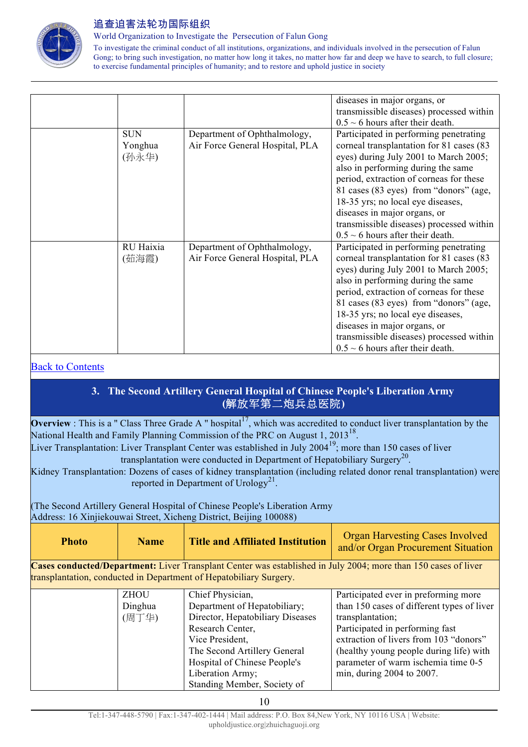

World Organization to Investigate the Persecution of Falun Gong

To investigate the criminal conduct of all institutions, organizations, and individuals involved in the persecution of Falun Gong; to bring such investigation, no matter how long it takes, no matter how far and deep we have to search, to full closure; to exercise fundamental principles of humanity; and to restore and uphold justice in society

|                                |                                                                 | diseases in major organs, or                                                                                                                                                                                                                                                                                                                                                                                     |
|--------------------------------|-----------------------------------------------------------------|------------------------------------------------------------------------------------------------------------------------------------------------------------------------------------------------------------------------------------------------------------------------------------------------------------------------------------------------------------------------------------------------------------------|
|                                |                                                                 | transmissible diseases) processed within                                                                                                                                                                                                                                                                                                                                                                         |
|                                |                                                                 | $0.5 \sim 6$ hours after their death.                                                                                                                                                                                                                                                                                                                                                                            |
| <b>SUN</b><br>Yonghua<br>(孙永华) | Department of Ophthalmology,<br>Air Force General Hospital, PLA | Participated in performing penetrating<br>corneal transplantation for 81 cases (83<br>eyes) during July 2001 to March 2005;<br>also in performing during the same<br>period, extraction of corneas for these<br>81 cases (83 eyes) from "donors" (age,<br>18-35 yrs; no local eye diseases,<br>diseases in major organs, or<br>transmissible diseases) processed within<br>$0.5 \sim 6$ hours after their death. |
| RU Haixia                      | Department of Ophthalmology,                                    | Participated in performing penetrating                                                                                                                                                                                                                                                                                                                                                                           |
| (茹海霞)                          | Air Force General Hospital, PLA                                 | corneal transplantation for 81 cases (83                                                                                                                                                                                                                                                                                                                                                                         |
|                                |                                                                 | eyes) during July 2001 to March 2005;                                                                                                                                                                                                                                                                                                                                                                            |
|                                |                                                                 | also in performing during the same                                                                                                                                                                                                                                                                                                                                                                               |
|                                |                                                                 | period, extraction of corneas for these                                                                                                                                                                                                                                                                                                                                                                          |
|                                |                                                                 | 81 cases (83 eyes) from "donors" (age,                                                                                                                                                                                                                                                                                                                                                                           |
|                                |                                                                 | 18-35 yrs; no local eye diseases,                                                                                                                                                                                                                                                                                                                                                                                |
|                                |                                                                 | diseases in major organs, or                                                                                                                                                                                                                                                                                                                                                                                     |
|                                |                                                                 | transmissible diseases) processed within                                                                                                                                                                                                                                                                                                                                                                         |
|                                |                                                                 | $0.5 \sim 6$ hours after their death.                                                                                                                                                                                                                                                                                                                                                                            |

#### Back to Contents

## **3. The Second Artillery General Hospital of Chinese People's Liberation Army (**解放军第二炮兵总医院**)**

**Overview** : This is a " Class Three Grade A " hospital<sup>17</sup>, which was accredited to conduct liver transplantation by the National Health and Family Planning Commission of the PRC on August 1, 2013<sup>18</sup>.

Liver Transplantation: Liver Transplant Center was established in July 2004<sup>19</sup>; more than 150 cases of liver transplantation were conducted in Department of Hepatobiliary Surgery<sup>20</sup>.

Kidney Transplantation: Dozens of cases of kidney transplantation (including related donor renal transplantation) were reported in Department of Urology<sup>21</sup>.

(The Second Artillery General Hospital of Chinese People's Liberation Army Address: 16 Xinjiekouwai Street, Xicheng District, Beijing 100088)

| <b>Photo</b> | <b>Name</b> | Title and Affiliated Institution | <b>Organ Harvesting Cases Involved</b><br>and/or Organ Procurement Situation |
|--------------|-------------|----------------------------------|------------------------------------------------------------------------------|
|--------------|-------------|----------------------------------|------------------------------------------------------------------------------|

**Cases conducted/Department:** Liver Transplant Center was established in July 2004; more than 150 cases of liver transplantation, conducted in Department of Hepatobiliary Surgery.

| ZHOU    | Chief Physician, |                                  | Participated ever in preforming more       |
|---------|------------------|----------------------------------|--------------------------------------------|
| Dinghua |                  | Department of Hepatobiliary;     | than 150 cases of different types of liver |
| (周丁华)   |                  | Director, Hepatobiliary Diseases | transplantation;                           |
|         | Research Center, |                                  | Participated in performing fast            |
|         | Vice President,  |                                  | extraction of livers from 103 "donors"     |
|         |                  | The Second Artillery General     | (healthy young people during life) with    |
|         |                  | Hospital of Chinese People's     | parameter of warm ischemia time 0-5        |
|         | Liberation Army; |                                  | min, during 2004 to 2007.                  |
|         |                  | Standing Member, Society of      |                                            |

10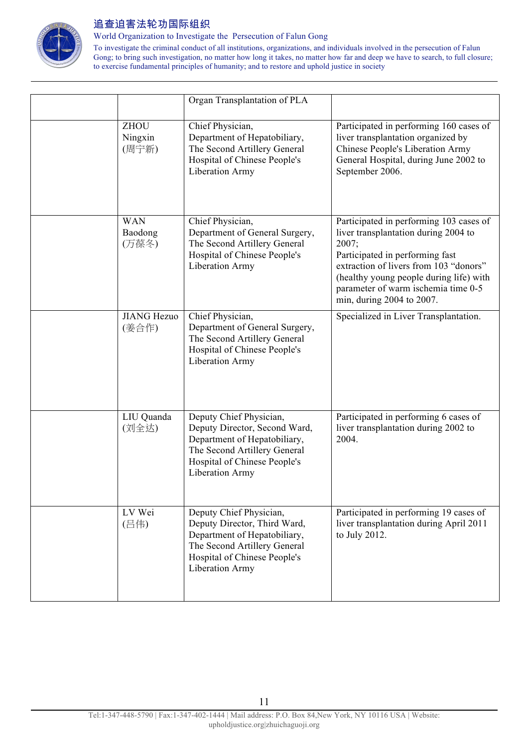

World Organization to Investigate the Persecution of Falun Gong

|                                 | Organ Transplantation of PLA                                                                                                                                                       |                                                                                                                                                                                                                                                                                      |
|---------------------------------|------------------------------------------------------------------------------------------------------------------------------------------------------------------------------------|--------------------------------------------------------------------------------------------------------------------------------------------------------------------------------------------------------------------------------------------------------------------------------------|
| <b>ZHOU</b><br>Ningxin<br>(周宁新) | Chief Physician,<br>Department of Hepatobiliary,<br>The Second Artillery General<br>Hospital of Chinese People's<br><b>Liberation Army</b>                                         | Participated in performing 160 cases of<br>liver transplantation organized by<br>Chinese People's Liberation Army<br>General Hospital, during June 2002 to<br>September 2006.                                                                                                        |
| <b>WAN</b><br>Baodong<br>(万葆冬)  | Chief Physician,<br>Department of General Surgery,<br>The Second Artillery General<br>Hospital of Chinese People's<br><b>Liberation Army</b>                                       | Participated in performing 103 cases of<br>liver transplantation during 2004 to<br>2007;<br>Participated in performing fast<br>extraction of livers from 103 "donors"<br>(healthy young people during life) with<br>parameter of warm ischemia time 0-5<br>min, during 2004 to 2007. |
| <b>JIANG Hezuo</b><br>(姜合作)     | Chief Physician,<br>Department of General Surgery,<br>The Second Artillery General<br>Hospital of Chinese People's<br><b>Liberation Army</b>                                       | Specialized in Liver Transplantation.                                                                                                                                                                                                                                                |
| LIU Quanda<br>(刘全达)             | Deputy Chief Physician,<br>Deputy Director, Second Ward,<br>Department of Hepatobiliary,<br>The Second Artillery General<br>Hospital of Chinese People's<br><b>Liberation Army</b> | Participated in performing 6 cases of<br>liver transplantation during 2002 to<br>2004.                                                                                                                                                                                               |
| LV Wei<br>(吕伟)                  | Deputy Chief Physician,<br>Deputy Director, Third Ward,<br>Department of Hepatobiliary,<br>The Second Artillery General<br>Hospital of Chinese People's<br>Liberation Army         | Participated in performing 19 cases of<br>liver transplantation during April 2011<br>to July 2012.                                                                                                                                                                                   |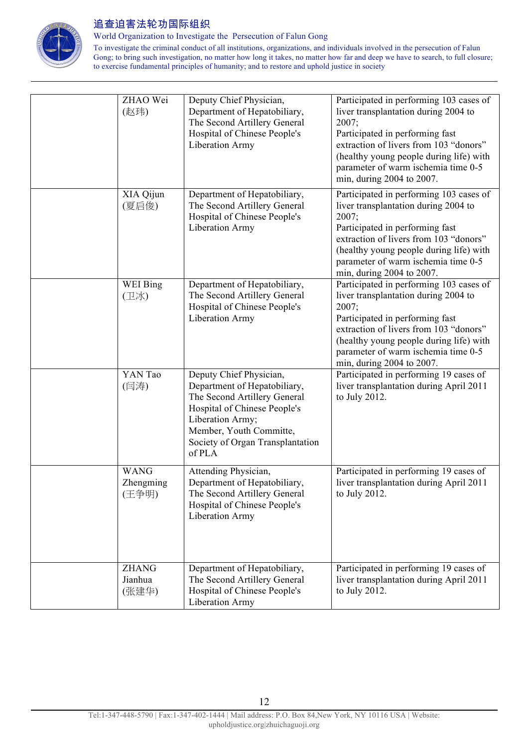

World Organization to Investigate the Persecution of Falun Gong

| ZHAO Wei<br>(赵玮)                  | Deputy Chief Physician,<br>Department of Hepatobiliary,<br>The Second Artillery General<br>Hospital of Chinese People's<br><b>Liberation Army</b>                                                                    | Participated in performing 103 cases of<br>liver transplantation during 2004 to<br>2007;<br>Participated in performing fast<br>extraction of livers from 103 "donors"<br>(healthy young people during life) with<br>parameter of warm ischemia time 0-5<br>min, during 2004 to 2007. |
|-----------------------------------|----------------------------------------------------------------------------------------------------------------------------------------------------------------------------------------------------------------------|--------------------------------------------------------------------------------------------------------------------------------------------------------------------------------------------------------------------------------------------------------------------------------------|
| XIA Qijun<br>(夏启俊)                | Department of Hepatobiliary,<br>The Second Artillery General<br>Hospital of Chinese People's<br>Liberation Army                                                                                                      | Participated in performing 103 cases of<br>liver transplantation during 2004 to<br>2007;<br>Participated in performing fast<br>extraction of livers from 103 "donors"<br>(healthy young people during life) with<br>parameter of warm ischemia time 0-5<br>min, during 2004 to 2007. |
| WEI Bing<br>(卫冰)                  | Department of Hepatobiliary,<br>The Second Artillery General<br>Hospital of Chinese People's<br><b>Liberation Army</b>                                                                                               | Participated in performing 103 cases of<br>liver transplantation during 2004 to<br>2007;<br>Participated in performing fast<br>extraction of livers from 103 "donors"<br>(healthy young people during life) with<br>parameter of warm ischemia time 0-5<br>min, during 2004 to 2007. |
| YAN Tao<br>(闫涛)                   | Deputy Chief Physician,<br>Department of Hepatobiliary,<br>The Second Artillery General<br>Hospital of Chinese People's<br>Liberation Army;<br>Member, Youth Committe,<br>Society of Organ Transplantation<br>of PLA | Participated in performing 19 cases of<br>liver transplantation during April 2011<br>to July 2012.                                                                                                                                                                                   |
| <b>WANG</b><br>Zhengming<br>(王争明) | Attending Physician,<br>Department of Hepatobiliary,<br>The Second Artillery General<br>Hospital of Chinese People's<br>Liberation Army                                                                              | Participated in performing 19 cases of<br>liver transplantation during April 2011<br>to July 2012.                                                                                                                                                                                   |
| <b>ZHANG</b><br>Jianhua<br>(张建华)  | Department of Hepatobiliary,<br>The Second Artillery General<br>Hospital of Chinese People's<br>Liberation Army                                                                                                      | Participated in performing 19 cases of<br>liver transplantation during April 2011<br>to July 2012.                                                                                                                                                                                   |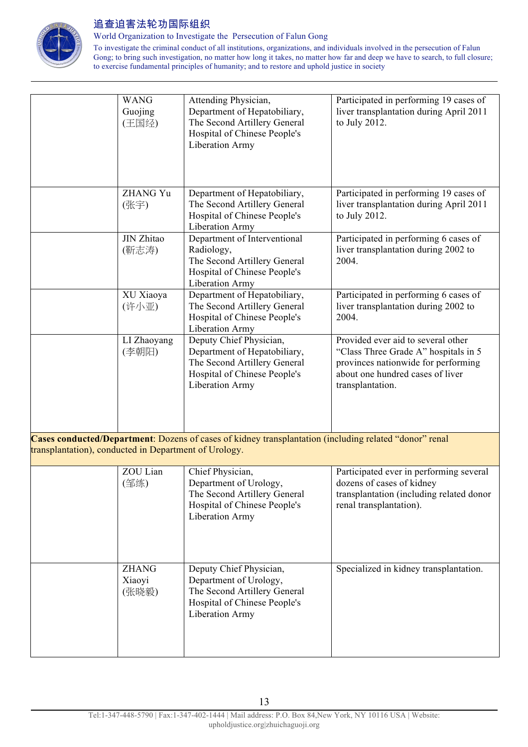

World Organization to Investigate the Persecution of Falun Gong

|                                                                                                                                                                 | <b>WANG</b><br>Guojing<br>(王国经) | Attending Physician,<br>Department of Hepatobiliary,<br>The Second Artillery General<br>Hospital of Chinese People's<br><b>Liberation Army</b>    | Participated in performing 19 cases of<br>liver transplantation during April 2011<br>to July 2012.                                                                        |
|-----------------------------------------------------------------------------------------------------------------------------------------------------------------|---------------------------------|---------------------------------------------------------------------------------------------------------------------------------------------------|---------------------------------------------------------------------------------------------------------------------------------------------------------------------------|
|                                                                                                                                                                 | <b>ZHANG Yu</b><br>(张宇)         | Department of Hepatobiliary,<br>The Second Artillery General<br>Hospital of Chinese People's<br><b>Liberation Army</b>                            | Participated in performing 19 cases of<br>liver transplantation during April 2011<br>to July 2012.                                                                        |
|                                                                                                                                                                 | JIN Zhitao<br>(靳志涛)             | Department of Interventional<br>Radiology,<br>The Second Artillery General<br>Hospital of Chinese People's<br><b>Liberation Army</b>              | Participated in performing 6 cases of<br>liver transplantation during 2002 to<br>2004.                                                                                    |
|                                                                                                                                                                 | XU Xiaoya<br>(许小亚)              | Department of Hepatobiliary,<br>The Second Artillery General<br>Hospital of Chinese People's<br><b>Liberation Army</b>                            | Participated in performing 6 cases of<br>liver transplantation during 2002 to<br>2004.                                                                                    |
|                                                                                                                                                                 | LI Zhaoyang<br>(李朝阳)            | Deputy Chief Physician,<br>Department of Hepatobiliary,<br>The Second Artillery General<br>Hospital of Chinese People's<br><b>Liberation Army</b> | Provided ever aid to several other<br>"Class Three Grade A" hospitals in 5<br>provinces nationwide for performing<br>about one hundred cases of liver<br>transplantation. |
| Cases conducted/Department: Dozens of cases of kidney transplantation (including related "donor" renal<br>transplantation), conducted in Department of Urology. |                                 |                                                                                                                                                   |                                                                                                                                                                           |
|                                                                                                                                                                 | ZOU Lian<br>(邹练)                | Chief Physician,<br>Department of Urology,<br>The Second Artillery General<br>Hospital of Chinese People's<br><b>Liberation Army</b>              | Participated ever in performing several<br>dozens of cases of kidney<br>transplantation (including related donor<br>renal transplantation).                               |
|                                                                                                                                                                 | <b>ZHANG</b><br>Xiaoyi<br>(张晓毅) | Deputy Chief Physician,<br>Department of Urology,<br>The Second Artillery General<br>Hospital of Chinese People's<br><b>Liberation Army</b>       | Specialized in kidney transplantation.                                                                                                                                    |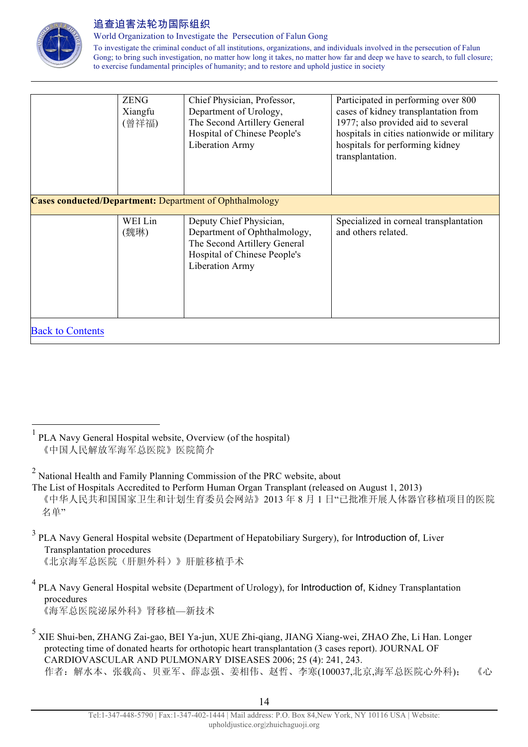

World Organization to Investigate the Persecution of Falun Gong

|                                                                | <b>ZENG</b><br>Xiangfu<br>(曾祥福) | Chief Physician, Professor,<br>Department of Urology,<br>The Second Artillery General<br>Hospital of Chinese People's<br>Liberation Army   | Participated in performing over 800<br>cases of kidney transplantation from<br>1977; also provided aid to several<br>hospitals in cities nationwide or military<br>hospitals for performing kidney<br>transplantation. |  |
|----------------------------------------------------------------|---------------------------------|--------------------------------------------------------------------------------------------------------------------------------------------|------------------------------------------------------------------------------------------------------------------------------------------------------------------------------------------------------------------------|--|
| <b>Cases conducted/Department:</b> Department of Ophthalmology |                                 |                                                                                                                                            |                                                                                                                                                                                                                        |  |
|                                                                | WEI Lin<br>(魏琳)                 | Deputy Chief Physician,<br>Department of Ophthalmology,<br>The Second Artillery General<br>Hospital of Chinese People's<br>Liberation Army | Specialized in corneal transplantation<br>and others related.                                                                                                                                                          |  |
| <b>Back to Contents</b>                                        |                                 |                                                                                                                                            |                                                                                                                                                                                                                        |  |

- <sup>3</sup> PLA Navy General Hospital website (Department of Hepatobiliary Surgery), for Introduction of, Liver Transplantation procedures 《北京海军总医院(肝胆外科)》肝脏移植手术
- <sup>4</sup> PLA Navy General Hospital website (Department of Urology), for Introduction of, Kidney Transplantation procedures 《海军总医院泌尿外科》肾移植—新技术
- <sup>5</sup> XIE Shui-ben, ZHANG Zai-gao, BEI Ya-jun, XUE Zhi-qiang, JIANG Xiang-wei, ZHAO Zhe, Li Han. Longer protecting time of donated hearts for orthotopic heart transplantation (3 cases report). JOURNAL OF CARDIOVASCULAR AND PULMONARY DISEASES 2006; 25 (4): 241, 243. 作者:解水本、张载高、贝亚军、薛志强、姜相伟、赵哲、李寒(100037,北京,海军总医院心外科); 《心

 <sup>1</sup> PLA Navy General Hospital website, Overview (of the hospital) 《中国人民解放军海军总医院》医院简介

<sup>2</sup> National Health and Family Planning Commission of the PRC website, about

The List of Hospitals Accredited to Perform Human Organ Transplant (released on August 1, 2013)

《中华人民共和国国家卫生和计划生育委员会网站》2013 年 8 月 1 日"已批准开展人体器官移植项目的医院 名单"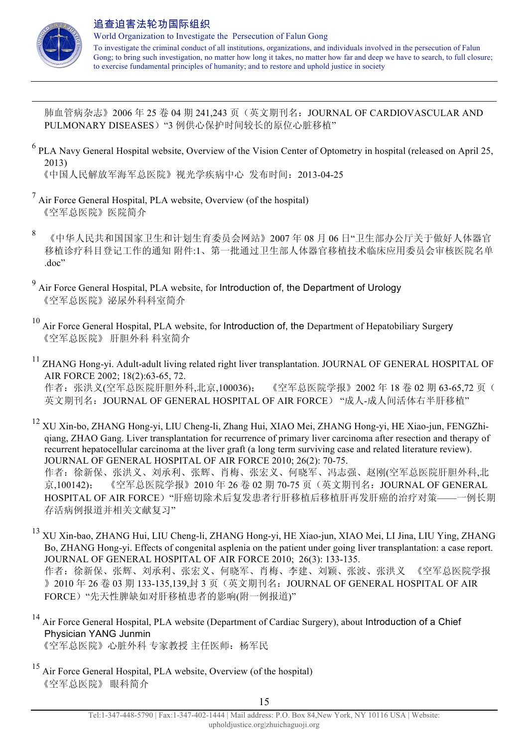

 $\overline{a}$ 

肺血管病杂志》2006 年 25 卷 04 期 241,243 页(英文期刊名:JOURNAL OF CARDIOVASCULAR AND PULMONARY DISEASES) "3 例供心保护时间较长的原位心脏移植"

<sup>6</sup> PLA Navy General Hospital website, Overview of the Vision Center of Optometry in hospital (released on April 25, 2013)

《中国人民解放军海军总医院》视光学疾病中心 发布时间:2013-04-25

- $<sup>7</sup>$  Air Force General Hospital, PLA website, Overview (of the hospital)</sup> 《空军总医院》医院简介
- 8 《中华人民共和国国家卫生和计划生育委员会网站》2007 年 08 月 06 日"卫生部办公厅关于做好人体器官 移植诊疗科目登记工作的通知 附件:1、第一批通过卫生部人体器官移植技术临床应用委员会审核医院名单 .doc"
- <sup>9</sup> Air Force General Hospital, PLA website, for Introduction of, the Department of Urology 《空军总医院》泌尿外科科室简介
- $10$  Air Force General Hospital, PLA website, for Introduction of, the Department of Hepatobiliary Surgery 《空军总医院》 肝胆外科 科室简介
- <sup>11</sup> ZHANG Hong-yi. Adult-adult living related right liver transplantation. JOURNAL OF GENERAL HOSPITAL OF AIR FORCE 2002; 18(2):63-65, 72. 作者: 张洪义(空军总医院肝胆外科,北京,100036); 《空军总医院学报》2002年18卷 02期 63-65.72页( 英文期刊名: JOURNAL OF GENERAL HOSPITAL OF AIR FORCE) "成人-成人间活体右半肝移植"
- <sup>12</sup> XU Xin-bo, ZHANG Hong-yi, LIU Cheng-li, Zhang Hui, XIAO Mei, ZHANG Hong-yi, HE Xiao-jun, FENGZhiqiang, ZHAO Gang. Liver transplantation for recurrence of primary liver carcinoma after resection and therapy of recurrent hepatocellular carcinoma at the liver graft (a long term surviving case and related literature review). JOURNAL OF GENERAL HOSPITAL OF AIR FORCE 2010; 26(2): 70-75. 作者:徐新保、张洪义、刘承利、张辉、肖梅、张宏义、何晓军、冯志强、赵刚(空军总医院肝胆外科,北 京,100142); 《空军总医院学报》2010年 26 卷 02 期 70-75 页(英文期刊名: JOURNAL OF GENERAL HOSPITAL OF AIR FORCE)"肝癌切除术后复发患者行肝移植后移植肝再发肝癌的治疗对策——一例长期 存活病例报道并相关文献复习"
- <sup>13</sup> XU Xin-bao, ZHANG Hui, LIU Cheng-li, ZHANG Hong-yi, HE Xiao-jun, XIAO Mei, LI Jina, LIU Ying, ZHANG Bo, ZHANG Hong-yi. Effects of congenital asplenia on the patient under going liver transplantation: a case report. JOURNAL OF GENERAL HOSPITAL OF AIR FORCE 2010; 26(3): 133-135. 作者:徐新保、张辉、刘承利、张宏义、何晓军、肖梅、李建、刘颖、张波、张洪义 《空军总医院学报 》2010年 26 卷 03 期 133-135,139,封 3 页(英文期刊名: JOURNAL OF GENERAL HOSPITAL OF AIR FORCE)"先天性脾缺如对肝移植患者的影响(附一例报道)"
- <sup>14</sup> Air Force General Hospital, PLA website (Department of Cardiac Surgery), about Introduction of a Chief Physician YANG Junmin

《空军总医院》心脏外科 专家教授 主任医师: 杨军民

<sup>15</sup> Air Force General Hospital, PLA website, Overview (of the hospital) 《空军总医院》 眼科简介